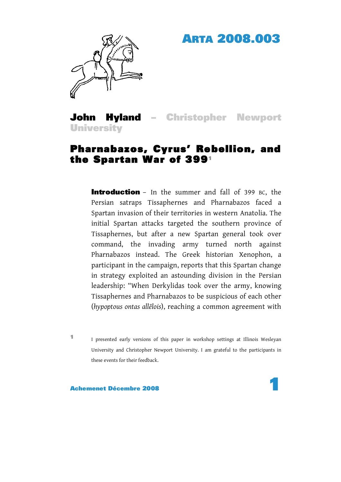## ARTA 2008.003



John Hyland – Christopher Newport **University** 

## Pharnabazos, Cyrus' Rebellion, and the Spartan War of 3991

**Introduction** – In the summer and fall of 399 BC, the Persian satraps Tissaphernes and Pharnabazos faced a Spartan invasion of their territories in western Anatolia. The initial Spartan attacks targeted the southern province of Tissaphernes, but after a new Spartan general took over command, the invading army turned north against Pharnabazos instead. The Greek historian Xenophon, a participant in the campaign, reports that this Spartan change in strategy exploited an astounding division in the Persian leadership: "When Derkylidas took over the army, knowing Tissaphernes and Pharnabazos to be suspicious of each other (*hypoptous ontas allēlois*), reaching a common agreement with

<sup>1</sup> I presented early versions of this paper in workshop settings at Illinois Wesleyan University and Christopher Newport University. I am grateful to the participants in these events for their feedback.

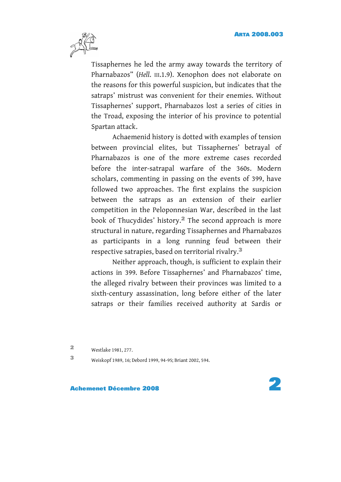

Tissaphernes he led the army away towards the territory of Pharnabazos" (*Hell*. III.1.9). Xenophon does not elaborate on the reasons for this powerful suspicion, but indicates that the satraps' mistrust was convenient for their enemies. Without Tissaphernes' support, Pharnabazos lost a series of cities in the Troad, exposing the interior of his province to potential Spartan attack.

Achaemenid history is dotted with examples of tension between provincial elites, but Tissaphernes' betrayal of Pharnabazos is one of the more extreme cases recorded before the inter-satrapal warfare of the 360s. Modern scholars, commenting in passing on the events of 399, have followed two approaches. The first explains the suspicion between the satraps as an extension of their earlier competition in the Peloponnesian War, described in the last book of Thucydides' history.2 The second approach is more structural in nature, regarding Tissaphernes and Pharnabazos as participants in a long running feud between their respective satrapies, based on territorial rivalry.<sup>3</sup>

Neither approach, though, is sufficient to explain their actions in 399. Before Tissaphernes' and Pharnabazos' time, the alleged rivalry between their provinces was limited to a sixth-century assassination, long before either of the later satraps or their families received authority at Sardis or

<sup>2</sup> Westlake 1981, 277.

<sup>3</sup> Weiskopf 1989, 16; Debord 1999, 94-95; Briant 2002, 594.

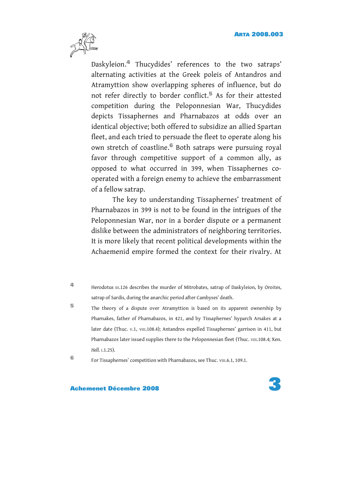

Daskyleion.4 Thucydides' references to the two satraps' alternating activities at the Greek poleis of Antandros and Atramyttion show overlapping spheres of influence, but do not refer directly to border conflict.<sup>5</sup> As for their attested competition during the Peloponnesian War, Thucydides depicts Tissaphernes and Pharnabazos at odds over an identical objective; both offered to subsidize an allied Spartan fleet, and each tried to persuade the fleet to operate along his own stretch of coastline.<sup>6</sup> Both satraps were pursuing royal favor through competitive support of a common ally, as opposed to what occurred in 399, when Tissaphernes cooperated with a foreign enemy to achieve the embarrassment of a fellow satrap.

The key to understanding Tissaphernes' treatment of Pharnabazos in 399 is not to be found in the intrigues of the Peloponnesian War, nor in a border dispute or a permanent dislike between the administrators of neighboring territories. It is more likely that recent political developments within the Achaemenid empire formed the context for their rivalry. At

<sup>5</sup> The theory of a dispute over Atramyttion is based on its apparent ownership by Pharnakes, father of Pharnabazos, in 421, and by Tissaphernes' hyparch Arsakes at a later date (Thuc. V.1, VIII.108.4); Antandros expelled Tissaphernes' garrison in 411, but Pharnabazos later issued supplies there to the Peloponnesian fleet (Thuc. VIII.108.4; Xen. *Hell*. I.1.25).

<sup>6</sup> For Tissaphernes' competition with Pharnabazos, see Thuc. VIII.6.1, 109.1.



<sup>4</sup> Herodotus III.126 describes the murder of Mitrobates, satrap of Daskyleion, by Oroites, satrap of Sardis, during the anarchic period after Cambyses' death.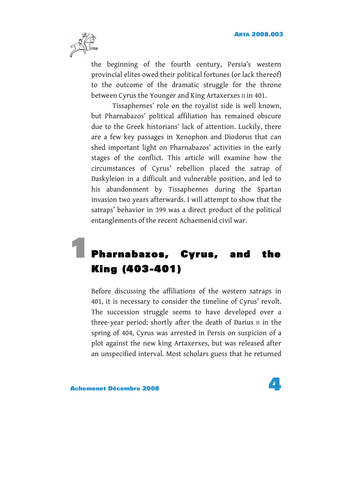

the beginning of the fourth century, Persia's western provincial elites owed their political fortunes (or lack thereof) to the outcome of the dramatic struggle for the throne between Cyrus the Younger and King Artaxerxes II in 401.

Tissaphernes' role on the royalist side is well known, but Pharnabazos' political affiliation has remained obscure due to the Greek historians' lack of attention. Luckily, there are a few key passages in Xenophon and Diodorus that can shed important light on Pharnabazos' activities in the early stages of the conflict. This article will examine how the circumstances of Cyrus' rebellion placed the satrap of Daskyleion in a difficult and vulnerable position, and led to his abandonment by Tissaphernes during the Spartan invasion two years afterwards. I will attempt to show that the satraps' behavior in 399 was a direct product of the political entanglements of the recent Achaemenid civil war.

## Pharnabazos, Cyrus, and the King (403-401)

Before discussing the affiliations of the western satraps in 401, it is necessary to consider the timeline of Cyrus' revolt. The succession struggle seems to have developed over a three-year period: shortly after the death of Darius II in the spring of 404, Cyrus was arrested in Persis on suspicion of a plot against the new king Artaxerxes, but was released after an unspecified interval. Most scholars guess that he returned



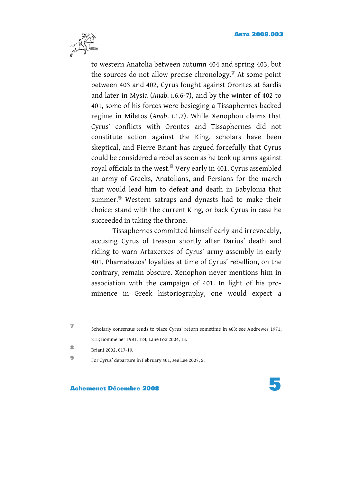

to western Anatolia between autumn 404 and spring 403, but the sources do not allow precise chronology.<sup> $\triangledown$ </sup> At some point between 403 and 402, Cyrus fought against Orontes at Sardis and later in Mysia (*Anab*. I.6.6-7), and by the winter of 402 to 401, some of his forces were besieging a Tissaphernes-backed regime in Miletos (*Anab*. I.1.7). While Xenophon claims that Cyrus' conflicts with Orontes and Tissaphernes did not constitute action against the King, scholars have been skeptical, and Pierre Briant has argued forcefully that Cyrus could be considered a rebel as soon as he took up arms against royal officials in the west.8 Very early in 401, Cyrus assembled an army of Greeks, Anatolians, and Persians for the march that would lead him to defeat and death in Babylonia that summer.<sup>9</sup> Western satraps and dynasts had to make their choice: stand with the current King, or back Cyrus in case he succeeded in taking the throne.

Tissaphernes committed himself early and irrevocably, accusing Cyrus of treason shortly after Darius' death and riding to warn Artaxerxes of Cyrus' army assembly in early 401. Pharnabazos' loyalties at time of Cyrus' rebellion, on the contrary, remain obscure. Xenophon never mentions him in association with the campaign of 401. In light of his prominence in Greek historiography, one would expect a

<sup>8</sup> Briant 2002, 617-19.

<sup>9</sup> For Cyrus' departure in February 401, see Lee 2007, 2.



<sup>7</sup> Scholarly consensus tends to place Cyrus' return sometime in 403: see Andrewes 1971, 215; Bommelaer 1981, 124; Lane Fox 2004, 13.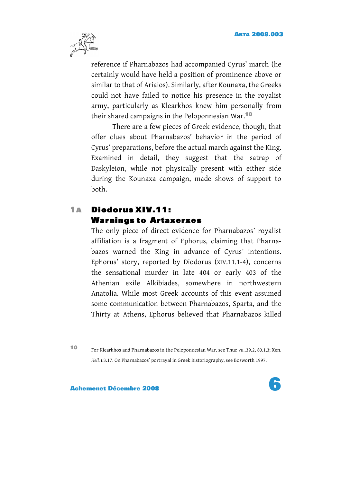

reference if Pharnabazos had accompanied Cyrus' march (he certainly would have held a position of prominence above or similar to that of Ariaios). Similarly, after Kounaxa, the Greeks could not have failed to notice his presence in the royalist army, particularly as Klearkhos knew him personally from their shared campaigns in the Peloponnesian War.<sup>10</sup>

There are a few pieces of Greek evidence, though, that offer clues about Pharnabazos' behavior in the period of Cyrus' preparations, before the actual march against the King. Examined in detail, they suggest that the satrap of Daskyleion, while not physically present with either side during the Kounaxa campaign, made shows of support to both.

### 1A Diodorus XIV.11: Warnings to Artaxerxes

The only piece of direct evidence for Pharnabazos' royalist affiliation is a fragment of Ephorus, claiming that Pharnabazos warned the King in advance of Cyrus' intentions. Ephorus' story, reported by Diodorus (XIV.11.1-4), concerns the sensational murder in late 404 or early 403 of the Athenian exile Alkibiades, somewhere in northwestern Anatolia. While most Greek accounts of this event assumed some communication between Pharnabazos, Sparta, and the Thirty at Athens, Ephorus believed that Pharnabazos killed

10 For Klearkhos and Pharnabazos in the Peloponnesian War, see Thuc VIII.39.2, 80.1,3; Xen. *Hell.* I.3.17. On Pharnabazos' portrayal in Greek historiography, see Bosworth 1997.

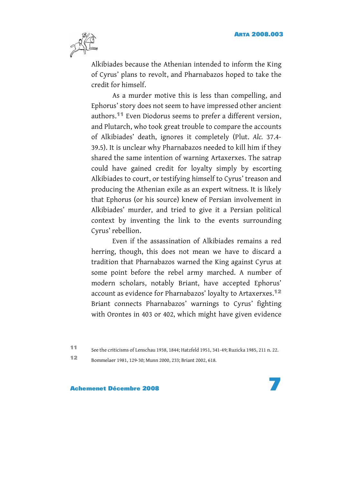

Alkibiades because the Athenian intended to inform the King of Cyrus' plans to revolt, and Pharnabazos hoped to take the credit for himself.

As a murder motive this is less than compelling, and Ephorus' story does not seem to have impressed other ancient authors.11 Even Diodorus seems to prefer a different version, and Plutarch, who took great trouble to compare the accounts of Alkibiades' death, ignores it completely (Plut. *Alc.* 37.4- 39.5). It is unclear why Pharnabazos needed to kill him if they shared the same intention of warning Artaxerxes. The satrap could have gained credit for loyalty simply by escorting Alkibiades to court, or testifying himself to Cyrus' treason and producing the Athenian exile as an expert witness. It is likely that Ephorus (or his source) knew of Persian involvement in Alkibiades' murder, and tried to give it a Persian political context by inventing the link to the events surrounding Cyrus' rebellion.

Even if the assassination of Alkibiades remains a red herring, though, this does not mean we have to discard a tradition that Pharnabazos warned the King against Cyrus at some point before the rebel army marched. A number of modern scholars, notably Briant, have accepted Ephorus' account as evidence for Pharnabazos' loyalty to Artaxerxes.<sup>12</sup> Briant connects Pharnabazos' warnings to Cyrus' fighting with Orontes in 403 or 402, which might have given evidence

<sup>11</sup> See the criticisms of Lenschau 1938, 1844; Hatzfeld 1951, 341-49; Ruzicka 1985, 211 n. 22.

<sup>12</sup> Bommelaer 1981, 129-30; Munn 2000, 233; Briant 2002, 618.

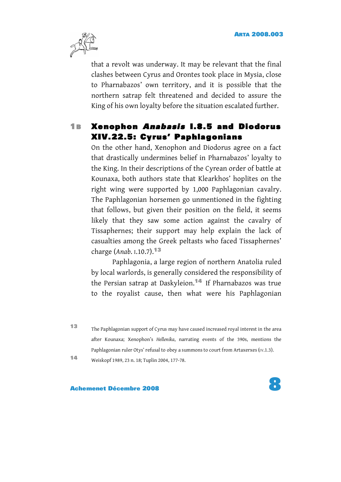

that a revolt was underway. It may be relevant that the final clashes between Cyrus and Orontes took place in Mysia, close to Pharnabazos' own territory, and it is possible that the northern satrap felt threatened and decided to assure the King of his own loyalty before the situation escalated further.

#### **1B Xenophon Anabasis 1.8.5 and Diodorus** XIV.22.5: Cyrus' Paphlagonians

On the other hand, Xenophon and Diodorus agree on a fact that drastically undermines belief in Pharnabazos' loyalty to the King. In their descriptions of the Cyrean order of battle at Kounaxa, both authors state that Klearkhos' hoplites on the right wing were supported by 1,000 Paphlagonian cavalry. The Paphlagonian horsemen go unmentioned in the fighting that follows, but given their position on the field, it seems likely that they saw some action against the cavalry of Tissaphernes; their support may help explain the lack of casualties among the Greek peltasts who faced Tissaphernes' charge (*Anab*. I.10.7).<sup>13</sup>

Paphlagonia, a large region of northern Anatolia ruled by local warlords, is generally considered the responsibility of the Persian satrap at Daskyleion.<sup>14</sup> If Pharnabazos was true to the royalist cause, then what were his Paphlagonian

<sup>13</sup> The Paphlagonian support of Cyrus may have caused increased royal interest in the area after Kounaxa; Xenophon's *Hellenika*, narrating events of the 390s, mentions the Paphlagonian ruler Otys' refusal to obey a summons to court from Artaxerxes (IV.1.3).

<sup>14</sup> Weiskopf 1989, 23 n. 18; Tuplin 2004, 177-78.

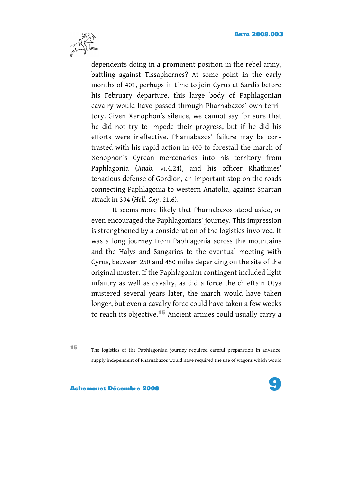

dependents doing in a prominent position in the rebel army, battling against Tissaphernes? At some point in the early months of 401, perhaps in time to join Cyrus at Sardis before his February departure, this large body of Paphlagonian cavalry would have passed through Pharnabazos' own territory. Given Xenophon's silence, we cannot say for sure that he did not try to impede their progress, but if he did his efforts were ineffective. Pharnabazos' failure may be contrasted with his rapid action in 400 to forestall the march of Xenophon's Cyrean mercenaries into his territory from Paphlagonia (*Anab*. VI.4.24), and his officer Rhathines' tenacious defense of Gordion, an important stop on the roads connecting Paphlagonia to western Anatolia, against Spartan attack in 394 (*Hell*. *Oxy*. 21.6).

It seems more likely that Pharnabazos stood aside, or even encouraged the Paphlagonians' journey. This impression is strengthened by a consideration of the logistics involved. It was a long journey from Paphlagonia across the mountains and the Halys and Sangarios to the eventual meeting with Cyrus, between 250 and 450 miles depending on the site of the original muster. If the Paphlagonian contingent included light infantry as well as cavalry, as did a force the chieftain Otys mustered several years later, the march would have taken longer, but even a cavalry force could have taken a few weeks to reach its objective.<sup>15</sup> Ancient armies could usually carry a

<sup>15</sup> The logistics of the Paphlagonian journey required careful preparation in advance; supply independent of Pharnabazos would have required the use of wagons which would

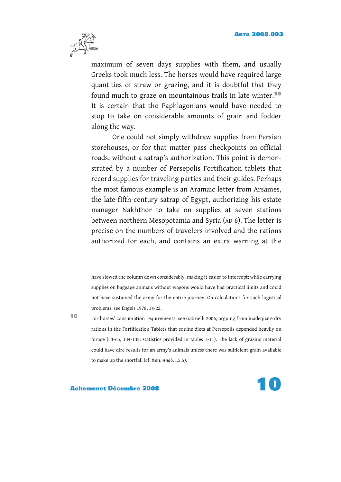

maximum of seven days supplies with them, and usually Greeks took much less. The horses would have required large quantities of straw or grazing, and it is doubtful that they found much to graze on mountainous trails in late winter.<sup>16</sup> It is certain that the Paphlagonians would have needed to stop to take on considerable amounts of grain and fodder along the way.

One could not simply withdraw supplies from Persian storehouses, or for that matter pass checkpoints on official roads, without a satrap's authorization. This point is demonstrated by a number of Persepolis Fortification tablets that record supplies for traveling parties and their guides. Perhaps the most famous example is an Aramaic letter from Arsames, the late-fifth-century satrap of Egypt, authorizing his estate manager Nakhthor to take on supplies at seven stations between northern Mesopotamia and Syria (AD 6). The letter is precise on the numbers of travelers involved and the rations authorized for each, and contains an extra warning at the

have slowed the column down considerably, making it easier to intercept; while carrying supplies on baggage animals without wagons would have had practical limits and could not have sustained the army for the entire journey. On calculations for such logistical problems, see Engels 1978, 14-22.

<sup>16</sup> For horses' consumption requirements, see Gabrielli 2006, arguing from inadequate dry rations in the Fortification Tablets that equine diets at Persepolis depended heavily on forage (53-65, 134-135; statistics provided in tables 1-11). The lack of grazing material could have dire results for an army's animals unless there was sufficient grain available to make up the shortfall (cf. Xen. *Anab*. I.5.5).

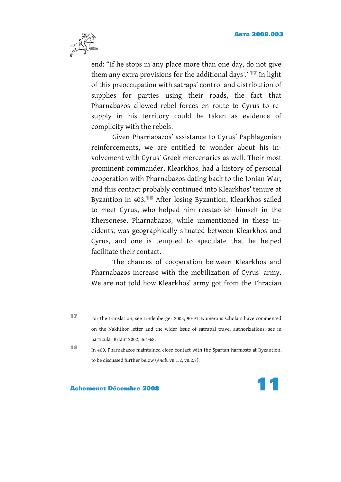

end: "If he stops in any place more than one day, do not give them any extra provisions for the additional days'."<sup>17</sup> In light of this preoccupation with satraps' control and distribution of supplies for parties using their roads, the fact that Pharnabazos allowed rebel forces en route to Cyrus to resupply in his territory could be taken as evidence of complicity with the rebels.

Given Pharnabazos' assistance to Cyrus' Paphlagonian reinforcements, we are entitled to wonder about his involvement with Cyrus' Greek mercenaries as well. Their most prominent commander, Klearkhos, had a history of personal cooperation with Pharnabazos dating back to the Ionian War, and this contact probably continued into Klearkhos' tenure at Byzantion in 403.18 After losing Byzantion, Klearkhos sailed to meet Cyrus, who helped him reestablish himself in the Khersonese. Pharnabazos, while unmentioned in these incidents, was geographically situated between Klearkhos and Cyrus, and one is tempted to speculate that he helped facilitate their contact.

The chances of cooperation between Klearkhos and Pharnabazos increase with the mobilization of Cyrus' army. We are not told how Klearkhos' army got from the Thracian

<sup>17</sup> For the translation, see Lindenberger 2003, 90-91. Numerous scholars have commented on the Nakhthor letter and the wider issue of satrapal travel authorizations; see in particular Briant 2002, 364-68.

<sup>18</sup> In 400, Pharnabazos maintained close contact with the Spartan harmosts at Byzantion, to be discussed further below (*Anab*. VII.1.2, VII.2.7).

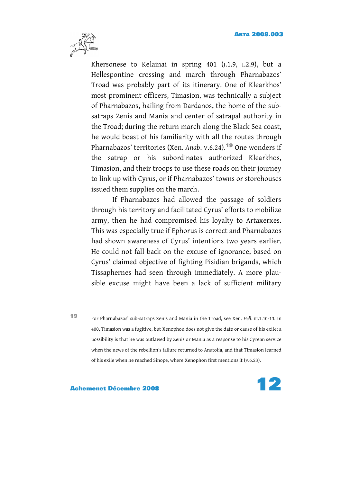

Khersonese to Kelainai in spring 401 (I.1.9, I.2.9), but a Hellespontine crossing and march through Pharnabazos' Troad was probably part of its itinerary. One of Klearkhos' most prominent officers, Timasion, was technically a subject of Pharnabazos, hailing from Dardanos, the home of the subsatraps Zenis and Mania and center of satrapal authority in the Troad; during the return march along the Black Sea coast, he would boast of his familiarity with all the routes through Pharnabazos' territories (Xen. *Anab*. V.6.24).19 One wonders if the satrap or his subordinates authorized Klearkhos, Timasion, and their troops to use these roads on their journey to link up with Cyrus, or if Pharnabazos' towns or storehouses issued them supplies on the march.

If Pharnabazos had allowed the passage of soldiers through his territory and facilitated Cyrus' efforts to mobilize army, then he had compromised his loyalty to Artaxerxes. This was especially true if Ephorus is correct and Pharnabazos had shown awareness of Cyrus' intentions two years earlier. He could not fall back on the excuse of ignorance, based on Cyrus' claimed objective of fighting Pisidian brigands, which Tissaphernes had seen through immediately. A more plausible excuse might have been a lack of sufficient military

<sup>19</sup> For Pharnabazos' sub-satraps Zenis and Mania in the Troad, see Xen. *Hell*. III.1.10-13. In 400, Timasion was a fugitive, but Xenophon does not give the date or cause of his exile; a possibility is that he was outlawed by Zenis or Mania as a response to his Cyrean service when the news of the rebellion's failure returned to Anatolia, and that Timasion learned of his exile when he reached Sinope, where Xenophon first mentions it (V.6.23).

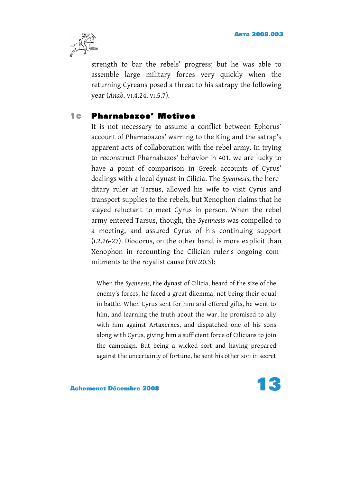

strength to bar the rebels' progress; but he was able to assemble large military forces very quickly when the returning Cyreans posed a threat to his satrapy the following year (*Anab*. VI.4.24, VI.5.7).

#### **1c** Pharnabazos' Motives

It is not necessary to assume a conflict between Ephorus' account of Pharnabazos' warning to the King and the satrap's apparent acts of collaboration with the rebel army. In trying to reconstruct Pharnabazos' behavior in 401, we are lucky to have a point of comparison in Greek accounts of Cyrus' dealings with a local dynast in Cilicia. The *Syennesis*, the hereditary ruler at Tarsus, allowed his wife to visit Cyrus and transport supplies to the rebels, but Xenophon claims that he stayed reluctant to meet Cyrus in person. When the rebel army entered Tarsus, though, the *Syennesis* was compelled to a meeting, and assured Cyrus of his continuing support (I.2.26-27). Diodorus, on the other hand, is more explicit than Xenophon in recounting the Cilician ruler's ongoing commitments to the royalist cause (XIV.20.3):

When the *Syennesis*, the dynast of Cilicia, heard of the size of the enemy's forces, he faced a great dilemma, not being their equal in battle. When Cyrus sent for him and offered gifts, he went to him, and learning the truth about the war, he promised to ally with him against Artaxerxes, and dispatched one of his sons along with Cyrus, giving him a sufficient force of Cilicians to join the campaign. But being a wicked sort and having prepared against the uncertainty of fortune, he sent his other son in secret

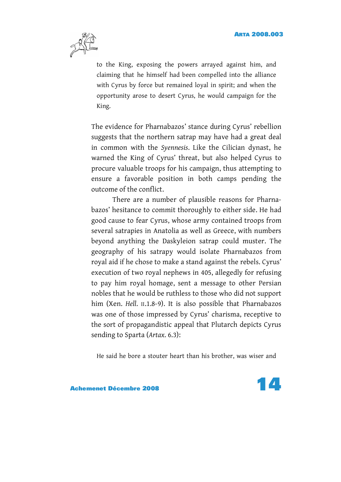

to the King, exposing the powers arrayed against him, and claiming that he himself had been compelled into the alliance with Cyrus by force but remained loyal in spirit; and when the opportunity arose to desert Cyrus, he would campaign for the King.

The evidence for Pharnabazos' stance during Cyrus' rebellion suggests that the northern satrap may have had a great deal in common with the *Syennesis*. Like the Cilician dynast, he warned the King of Cyrus' threat, but also helped Cyrus to procure valuable troops for his campaign, thus attempting to ensure a favorable position in both camps pending the outcome of the conflict.

There are a number of plausible reasons for Pharnabazos' hesitance to commit thoroughly to either side. He had good cause to fear Cyrus, whose army contained troops from several satrapies in Anatolia as well as Greece, with numbers beyond anything the Daskyleion satrap could muster. The geography of his satrapy would isolate Pharnabazos from royal aid if he chose to make a stand against the rebels. Cyrus' execution of two royal nephews in 405, allegedly for refusing to pay him royal homage, sent a message to other Persian nobles that he would be ruthless to those who did not support him (Xen. *Hell*. II.1.8-9). It is also possible that Pharnabazos was one of those impressed by Cyrus' charisma, receptive to the sort of propagandistic appeal that Plutarch depicts Cyrus sending to Sparta (*Artax*. 6.3):

He said he bore a stouter heart than his brother, was wiser and

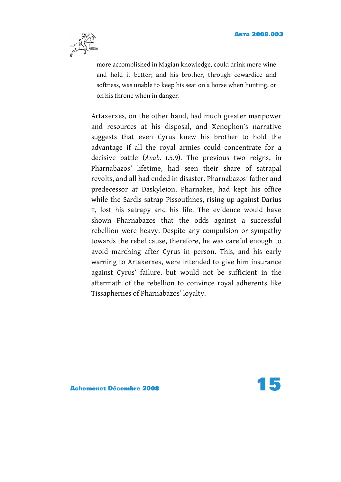

more accomplished in Magian knowledge, could drink more wine and hold it better; and his brother, through cowardice and softness, was unable to keep his seat on a horse when hunting, or on his throne when in danger.

Artaxerxes, on the other hand, had much greater manpower and resources at his disposal, and Xenophon's narrative suggests that even Cyrus knew his brother to hold the advantage if all the royal armies could concentrate for a decisive battle (*Anab*. I.5.9). The previous two reigns, in Pharnabazos' lifetime, had seen their share of satrapal revolts, and all had ended in disaster. Pharnabazos' father and predecessor at Daskyleion, Pharnakes, had kept his office while the Sardis satrap Pissouthnes, rising up against Darius II, lost his satrapy and his life. The evidence would have shown Pharnabazos that the odds against a successful rebellion were heavy. Despite any compulsion or sympathy towards the rebel cause, therefore, he was careful enough to avoid marching after Cyrus in person. This, and his early warning to Artaxerxes, were intended to give him insurance against Cyrus' failure, but would not be sufficient in the aftermath of the rebellion to convince royal adherents like Tissaphernes of Pharnabazos' loyalty.

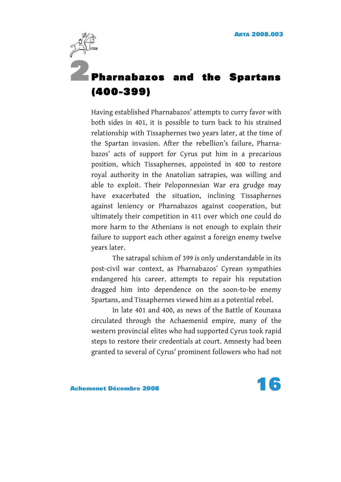

# 2 Pharnabazos and the Spartans (400-399)

Having established Pharnabazos' attempts to curry favor with both sides in 401, it is possible to turn back to his strained relationship with Tissaphernes two years later, at the time of the Spartan invasion. After the rebellion's failure, Pharnabazos' acts of support for Cyrus put him in a precarious position, which Tissaphernes, appointed in 400 to restore royal authority in the Anatolian satrapies, was willing and able to exploit. Their Peloponnesian War era grudge may have exacerbated the situation, inclining Tissaphernes against leniency or Pharnabazos against cooperation, but ultimately their competition in 411 over which one could do more harm to the Athenians is not enough to explain their failure to support each other against a foreign enemy twelve years later.

The satrapal schism of 399 is only understandable in its post-civil war context, as Pharnabazos' Cyrean sympathies endangered his career, attempts to repair his reputation dragged him into dependence on the soon-to-be enemy Spartans, and Tissaphernes viewed him as a potential rebel.

In late 401 and 400, as news of the Battle of Kounaxa circulated through the Achaemenid empire, many of the western provincial elites who had supported Cyrus took rapid steps to restore their credentials at court. Amnesty had been granted to several of Cyrus' prominent followers who had not



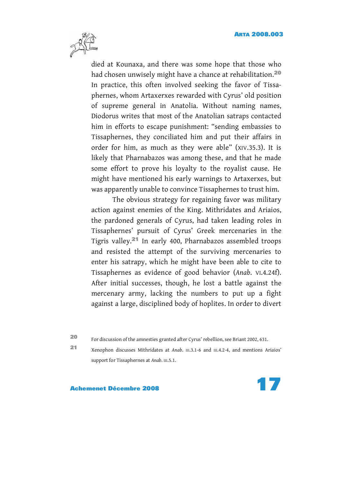

died at Kounaxa, and there was some hope that those who had chosen unwisely might have a chance at rehabilitation.<sup>20</sup> In practice, this often involved seeking the favor of Tissaphernes, whom Artaxerxes rewarded with Cyrus' old position of supreme general in Anatolia. Without naming names, Diodorus writes that most of the Anatolian satraps contacted him in efforts to escape punishment: "sending embassies to Tissaphernes, they conciliated him and put their affairs in order for him, as much as they were able" (XIV.35.3). It is likely that Pharnabazos was among these, and that he made some effort to prove his loyalty to the royalist cause. He might have mentioned his early warnings to Artaxerxes, but was apparently unable to convince Tissaphernes to trust him.

The obvious strategy for regaining favor was military action against enemies of the King. Mithridates and Ariaios, the pardoned generals of Cyrus, had taken leading roles in Tissaphernes' pursuit of Cyrus' Greek mercenaries in the Tigris valley.21 In early 400, Pharnabazos assembled troops and resisted the attempt of the surviving mercenaries to enter his satrapy, which he might have been able to cite to Tissaphernes as evidence of good behavior (*Anab*. VI.4.24f). After initial successes, though, he lost a battle against the mercenary army, lacking the numbers to put up a fight against a large, disciplined body of hoplites. In order to divert

<sup>20</sup> For discussion of the amnesties granted after Cyrus' rebellion, see Briant 2002, 631.

<sup>21</sup> Xenophon discusses Mithridates at *Anab*. III.3.1-6 and III.4.2-4, and mentions Ariaios' support for Tissaphernes at *Anab*. III.5.1.

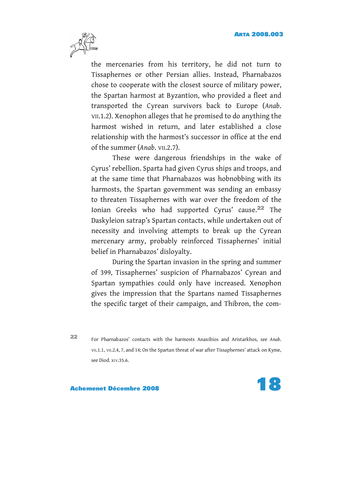

the mercenaries from his territory, he did not turn to Tissaphernes or other Persian allies. Instead, Pharnabazos chose to cooperate with the closest source of military power, the Spartan harmost at Byzantion, who provided a fleet and transported the Cyrean survivors back to Europe (*Anab*. VII.1.2). Xenophon alleges that he promised to do anything the harmost wished in return, and later established a close relationship with the harmost's successor in office at the end of the summer (*Anab*. VII.2.7).

These were dangerous friendships in the wake of Cyrus' rebellion. Sparta had given Cyrus ships and troops, and at the same time that Pharnabazos was hobnobbing with its harmosts, the Spartan government was sending an embassy to threaten Tissaphernes with war over the freedom of the Ionian Greeks who had supported Cyrus' cause.22 The Daskyleion satrap's Spartan contacts, while undertaken out of necessity and involving attempts to break up the Cyrean mercenary army, probably reinforced Tissaphernes' initial belief in Pharnabazos' disloyalty.

During the Spartan invasion in the spring and summer of 399, Tissaphernes' suspicion of Pharnabazos' Cyrean and Spartan sympathies could only have increased. Xenophon gives the impression that the Spartans named Tissaphernes the specific target of their campaign, and Thibron, the com-

<sup>22</sup> For Pharnabazos' contacts with the harmosts Anaxibios and Aristarkhos, see *Anab*. VII.1.1, VII.2.4, 7, and 14; On the Spartan threat of war after Tissaphernes' attack on Kyme, see Diod. XIV.35.6.

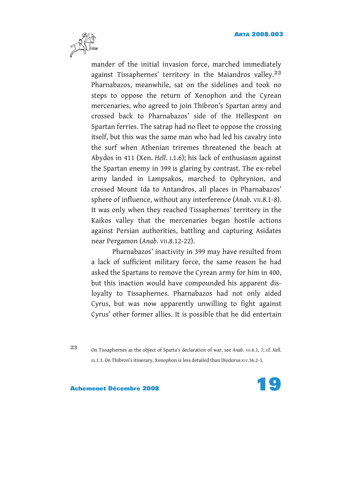

mander of the initial invasion force, marched immediately against Tissaphernes' territory in the Maiandros valley.<sup>23</sup> Pharnabazos, meanwhile, sat on the sidelines and took no steps to oppose the return of Xenophon and the Cyrean mercenaries, who agreed to join Thibron's Spartan army and crossed back to Pharnabazos' side of the Hellespont on Spartan ferries. The satrap had no fleet to oppose the crossing itself, but this was the same man who had led his cavalry into the surf when Athenian triremes threatened the beach at Abydos in 411 (Xen. *Hell*. I.1.6); his lack of enthusiasm against the Spartan enemy in 399 is glaring by contrast. The ex-rebel army landed in Lampsakos, marched to Ophrynion, and crossed Mount Ida to Antandros, all places in Pharnabazos' sphere of influence, without any interference (*Anab*. VII.8.1-8). It was only when they reached Tissaphernes' territory in the Kaikos valley that the mercenaries began hostile actions against Persian authorities, battling and capturing Asidates near Pergamon (*Anab*. VII.8.12-22).

Pharnabazos' inactivity in 399 may have resulted from a lack of sufficient military force, the same reason he had asked the Spartans to remove the Cyrean army for him in 400, but this inaction would have compounded his apparent disloyalty to Tissaphernes. Pharnabazos had not only aided Cyrus, but was now apparently unwilling to fight against Cyrus' other former allies. It is possible that he did entertain

<sup>23</sup> On Tissaphernes as the object of Sparta's declaration of war, see *Anab*. VII.6.1, 7; cf. *Hell*. III.1.3. On Thibron's itinerary, Xenophon is less detailed than Diodorus XIV.36.2-3.

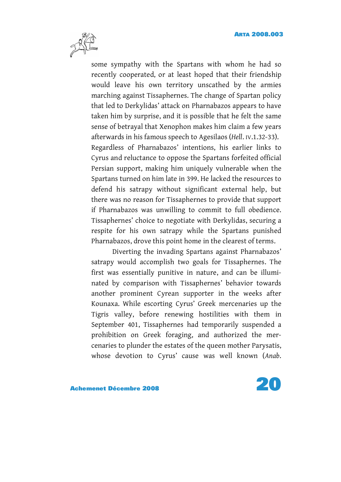

some sympathy with the Spartans with whom he had so recently cooperated, or at least hoped that their friendship would leave his own territory unscathed by the armies marching against Tissaphernes. The change of Spartan policy that led to Derkylidas' attack on Pharnabazos appears to have taken him by surprise, and it is possible that he felt the same sense of betrayal that Xenophon makes him claim a few years afterwards in his famous speech to Agesilaos (*Hell*. IV.1.32-33). Regardless of Pharnabazos' intentions, his earlier links to Cyrus and reluctance to oppose the Spartans forfeited official Persian support, making him uniquely vulnerable when the Spartans turned on him late in 399. He lacked the resources to defend his satrapy without significant external help, but there was no reason for Tissaphernes to provide that support if Pharnabazos was unwilling to commit to full obedience. Tissaphernes' choice to negotiate with Derkylidas, securing a respite for his own satrapy while the Spartans punished Pharnabazos, drove this point home in the clearest of terms.

Diverting the invading Spartans against Pharnabazos' satrapy would accomplish two goals for Tissaphernes. The first was essentially punitive in nature, and can be illuminated by comparison with Tissaphernes' behavior towards another prominent Cyrean supporter in the weeks after Kounaxa. While escorting Cyrus' Greek mercenaries up the Tigris valley, before renewing hostilities with them in September 401, Tissaphernes had temporarily suspended a prohibition on Greek foraging, and authorized the mercenaries to plunder the estates of the queen mother Parysatis, whose devotion to Cyrus' cause was well known (*Anab*.



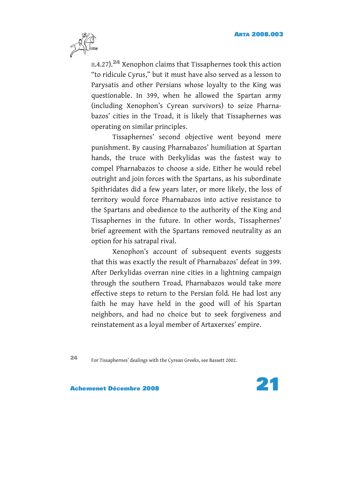

II.4.27).24 Xenophon claims that Tissaphernes took this action "to ridicule Cyrus," but it must have also served as a lesson to Parysatis and other Persians whose loyalty to the King was questionable. In 399, when he allowed the Spartan army (including Xenophon's Cyrean survivors) to seize Pharnabazos' cities in the Troad, it is likely that Tissaphernes was operating on similar principles.

Tissaphernes' second objective went beyond mere punishment. By causing Pharnabazos' humiliation at Spartan hands, the truce with Derkylidas was the fastest way to compel Pharnabazos to choose a side. Either he would rebel outright and join forces with the Spartans, as his subordinate Spithridates did a few years later, or more likely, the loss of territory would force Pharnabazos into active resistance to the Spartans and obedience to the authority of the King and Tissaphernes in the future. In other words, Tissaphernes' brief agreement with the Spartans removed neutrality as an option for his satrapal rival.

Xenophon's account of subsequent events suggests that this was exactly the result of Pharnabazos' defeat in 399. After Derkylidas overran nine cities in a lightning campaign through the southern Troad, Pharnabazos would take more effective steps to return to the Persian fold. He had lost any faith he may have held in the good will of his Spartan neighbors, and had no choice but to seek forgiveness and reinstatement as a loyal member of Artaxerxes' empire.

<sup>24</sup> For Tissaphernes' dealings with the Cyrean Greeks, see Bassett 2002.



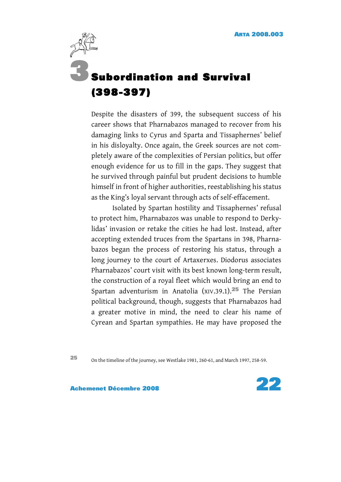

Despite the disasters of 399, the subsequent success of his career shows that Pharnabazos managed to recover from his damaging links to Cyrus and Sparta and Tissaphernes' belief in his disloyalty. Once again, the Greek sources are not completely aware of the complexities of Persian politics, but offer enough evidence for us to fill in the gaps. They suggest that he survived through painful but prudent decisions to humble himself in front of higher authorities, reestablishing his status as the King's loyal servant through acts of self-effacement.

Isolated by Spartan hostility and Tissaphernes' refusal to protect him, Pharnabazos was unable to respond to Derkylidas' invasion or retake the cities he had lost. Instead, after accepting extended truces from the Spartans in 398, Pharnabazos began the process of restoring his status, through a long journey to the court of Artaxerxes. Diodorus associates Pharnabazos' court visit with its best known long-term result, the construction of a royal fleet which would bring an end to Spartan adventurism in Anatolia (XIV.39.1).25 The Persian political background, though, suggests that Pharnabazos had a greater motive in mind, the need to clear his name of Cyrean and Spartan sympathies. He may have proposed the

<sup>25</sup> On the timeline of the journey, see Westlake 1981, 260-61, and March 1997, 258-59.

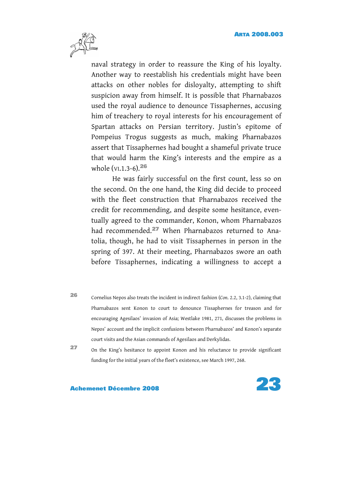

naval strategy in order to reassure the King of his loyalty. Another way to reestablish his credentials might have been attacks on other nobles for disloyalty, attempting to shift suspicion away from himself. It is possible that Pharnabazos used the royal audience to denounce Tissaphernes, accusing him of treachery to royal interests for his encouragement of Spartan attacks on Persian territory. Justin's epitome of Pompeius Trogus suggests as much, making Pharnabazos assert that Tissaphernes had bought a shameful private truce that would harm the King's interests and the empire as a whole (VI.1.3-6).<sup>26</sup>

He was fairly successful on the first count, less so on the second. On the one hand, the King did decide to proceed with the fleet construction that Pharnabazos received the credit for recommending, and despite some hesitance, eventually agreed to the commander, Konon, whom Pharnabazos had recommended.27 When Pharnabazos returned to Anatolia, though, he had to visit Tissaphernes in person in the spring of 397. At their meeting, Pharnabazos swore an oath before Tissaphernes, indicating a willingness to accept a

- <sup>26</sup> Cornelius Nepos also treats the incident in indirect fashion (*Con*. 2.2, 3.1-2), claiming that Pharnabazos sent Konon to court to denounce Tissaphernes for treason and for encouraging Agesilaos' invasion of Asia; Westlake 1981, 271, discusses the problems in Nepos' account and the implicit confusions between Pharnabazos' and Konon's separate court visits and the Asian commands of Agesilaos and Derkylidas.
- 

<sup>27</sup> On the King's hesitance to appoint Konon and his reluctance to provide significant funding for the initial years of the fleet's existence, see March 1997, 268.

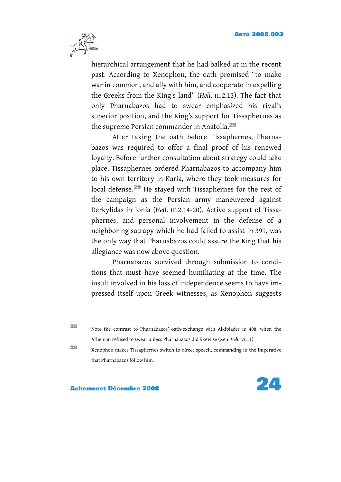

hierarchical arrangement that he had balked at in the recent past. According to Xenophon, the oath promised "to make war in common, and ally with him, and cooperate in expelling the Greeks from the King's land" (*Hell*. III.2.13). The fact that only Pharnabazos had to swear emphasized his rival's superior position, and the King's support for Tissaphernes as the supreme Persian commander in Anatolia.<sup>28</sup>

After taking the oath before Tissaphernes, Pharnabazos was required to offer a final proof of his renewed loyalty. Before further consultation about strategy could take place, Tissaphernes ordered Pharnabazos to accompany him to his own territory in Karia, where they took measures for local defense.29 He stayed with Tissaphernes for the rest of the campaign as the Persian army maneuvered against Derkylidas in Ionia (*Hell*. III.2.14-20). Active support of Tissaphernes, and personal involvement in the defense of a neighboring satrapy which he had failed to assist in 399, was the only way that Pharnabazos could assure the King that his allegiance was now above question.

Pharnabazos survived through submission to conditions that must have seemed humiliating at the time. The insult involved in his loss of independence seems to have impressed itself upon Greek witnesses, as Xenophon suggests

<sup>28</sup> Note the contrast to Pharnabazos' oath-exchange with Alkibiades in 408, when the Athenian refused to swear unless Pharnabazos did likewise (Xen. *Hell*. I.3.11).

<sup>29</sup> Xenophon makes Tissaphernes switch to direct speech, commanding in the imperative that Pharnabazos follow him.

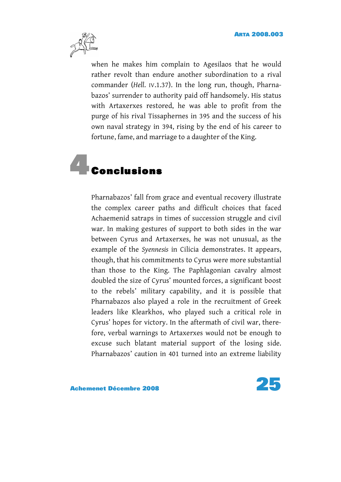

when he makes him complain to Agesilaos that he would rather revolt than endure another subordination to a rival commander (*Hell*. IV.1.37). In the long run, though, Pharnabazos' surrender to authority paid off handsomely. His status with Artaxerxes restored, he was able to profit from the purge of his rival Tissaphernes in 395 and the success of his own naval strategy in 394, rising by the end of his career to fortune, fame, and marriage to a daughter of the King.

# **Conclusions**

Pharnabazos' fall from grace and eventual recovery illustrate the complex career paths and difficult choices that faced Achaemenid satraps in times of succession struggle and civil war. In making gestures of support to both sides in the war between Cyrus and Artaxerxes, he was not unusual, as the example of the *Syennesis* in Cilicia demonstrates. It appears, though, that his commitments to Cyrus were more substantial than those to the King. The Paphlagonian cavalry almost doubled the size of Cyrus' mounted forces, a significant boost to the rebels' military capability, and it is possible that Pharnabazos also played a role in the recruitment of Greek leaders like Klearkhos, who played such a critical role in Cyrus' hopes for victory. In the aftermath of civil war, therefore, verbal warnings to Artaxerxes would not be enough to excuse such blatant material support of the losing side. Pharnabazos' caution in 401 turned into an extreme liability



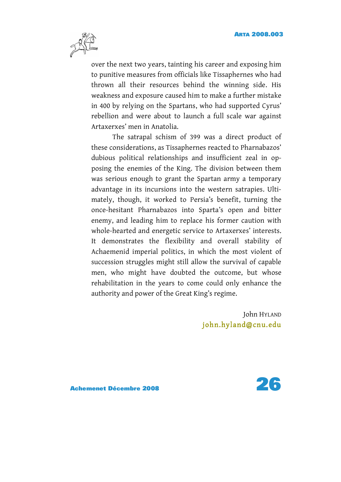

over the next two years, tainting his career and exposing him to punitive measures from officials like Tissaphernes who had thrown all their resources behind the winning side. His weakness and exposure caused him to make a further mistake in 400 by relying on the Spartans, who had supported Cyrus' rebellion and were about to launch a full scale war against Artaxerxes' men in Anatolia.

The satrapal schism of 399 was a direct product of these considerations, as Tissaphernes reacted to Pharnabazos' dubious political relationships and insufficient zeal in opposing the enemies of the King. The division between them was serious enough to grant the Spartan army a temporary advantage in its incursions into the western satrapies. Ultimately, though, it worked to Persia's benefit, turning the once-hesitant Pharnabazos into Sparta's open and bitter enemy, and leading him to replace his former caution with whole-hearted and energetic service to Artaxerxes' interests. It demonstrates the flexibility and overall stability of Achaemenid imperial politics, in which the most violent of succession struggles might still allow the survival of capable men, who might have doubted the outcome, but whose rehabilitation in the years to come could only enhance the authority and power of the Great King's regime.

> John HYLAND [john.hyland@ cnu. edu](mailto:john.hyland@cnu.edu )